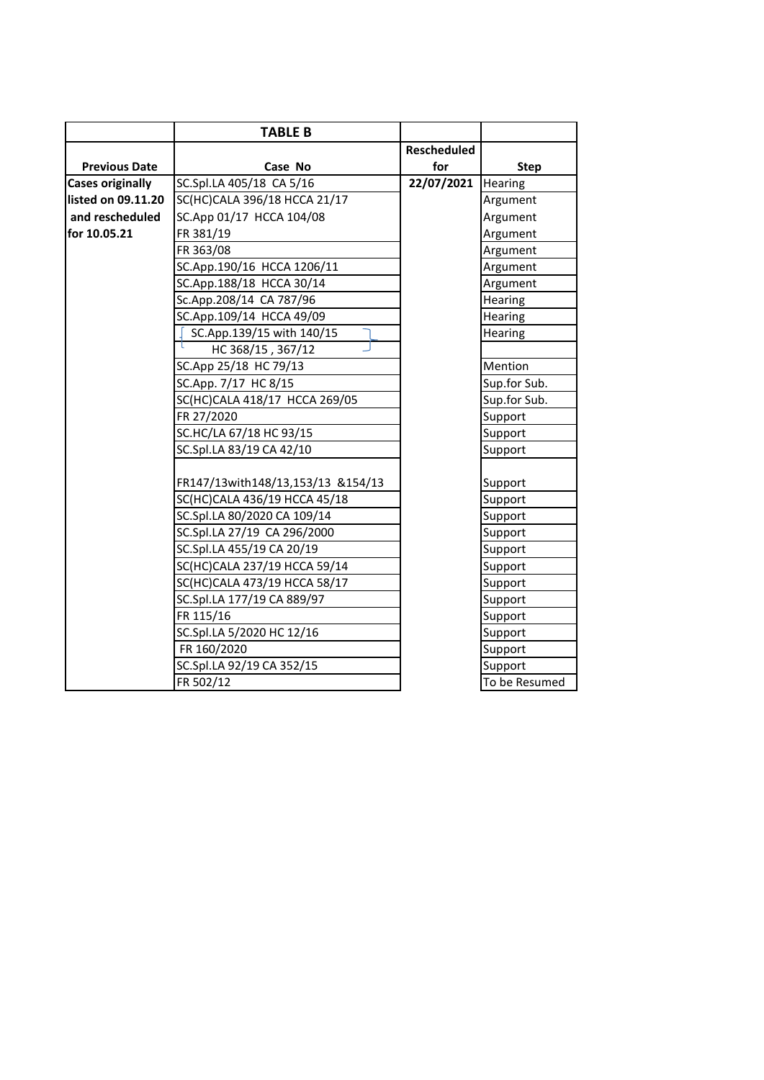|                         | <b>TABLE B</b>                    |                    |                |
|-------------------------|-----------------------------------|--------------------|----------------|
|                         |                                   | <b>Rescheduled</b> |                |
| <b>Previous Date</b>    | Case No                           | for                | <b>Step</b>    |
| <b>Cases originally</b> | SC.Spl.LA 405/18 CA 5/16          | 22/07/2021         | Hearing        |
| listed on 09.11.20      | SC(HC)CALA 396/18 HCCA 21/17      |                    | Argument       |
| and rescheduled         | SC.App 01/17 HCCA 104/08          |                    | Argument       |
| for 10.05.21            | FR 381/19                         |                    | Argument       |
|                         | FR 363/08                         |                    | Argument       |
|                         | SC.App.190/16 HCCA 1206/11        |                    | Argument       |
|                         | SC.App.188/18 HCCA 30/14          |                    | Argument       |
|                         | Sc.App.208/14 CA 787/96           |                    | <b>Hearing</b> |
|                         | SC.App.109/14 HCCA 49/09          |                    | Hearing        |
|                         | SC.App.139/15 with 140/15         |                    | Hearing        |
|                         | HC 368/15, 367/12                 |                    |                |
|                         | SC.App 25/18 HC 79/13             |                    | Mention        |
|                         | SC.App. 7/17 HC 8/15              |                    | Sup.for Sub.   |
|                         | SC(HC)CALA 418/17 HCCA 269/05     |                    | Sup.for Sub.   |
|                         | FR 27/2020                        |                    | Support        |
|                         | SC.HC/LA 67/18 HC 93/15           |                    | Support        |
|                         | SC.Spl.LA 83/19 CA 42/10          |                    | Support        |
|                         |                                   |                    |                |
|                         | FR147/13with148/13,153/13 &154/13 |                    | Support        |
|                         | SC(HC)CALA 436/19 HCCA 45/18      |                    | Support        |
|                         | SC.Spl.LA 80/2020 CA 109/14       |                    | Support        |
|                         | SC.Spl.LA 27/19 CA 296/2000       |                    | Support        |
|                         | SC.Spl.LA 455/19 CA 20/19         |                    | Support        |
|                         | SC(HC)CALA 237/19 HCCA 59/14      |                    | Support        |
|                         | SC(HC)CALA 473/19 HCCA 58/17      |                    | Support        |
|                         | SC.Spl.LA 177/19 CA 889/97        |                    | Support        |
|                         | FR 115/16                         |                    | Support        |
|                         | SC.Spl.LA 5/2020 HC 12/16         |                    | Support        |
|                         | FR 160/2020                       |                    | Support        |
|                         | SC.Spl.LA 92/19 CA 352/15         |                    | Support        |
|                         | FR 502/12                         |                    | To be Resumed  |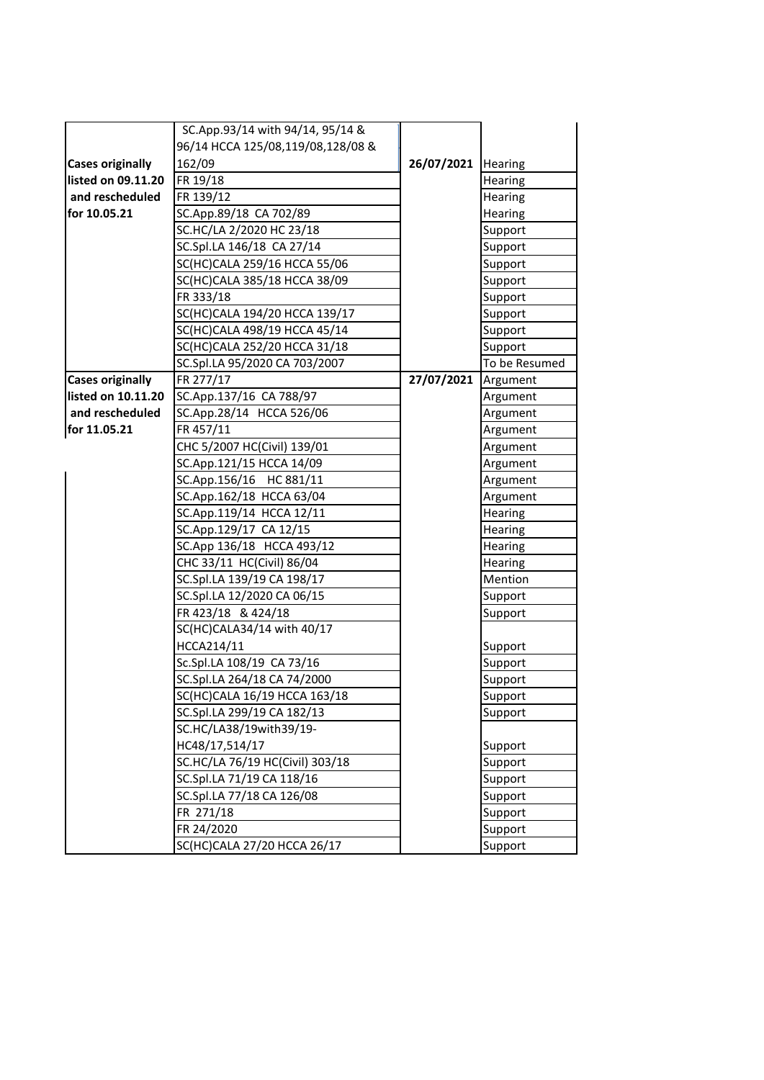|                         | SC.App.93/14 with 94/14, 95/14 &  |                      |                |
|-------------------------|-----------------------------------|----------------------|----------------|
|                         | 96/14 HCCA 125/08,119/08,128/08 & |                      |                |
| <b>Cases originally</b> | 162/09                            | 26/07/2021   Hearing |                |
| listed on 09.11.20      | FR 19/18                          |                      | <b>Hearing</b> |
| and rescheduled         | FR 139/12                         |                      | <b>Hearing</b> |
| for 10.05.21            | SC.App.89/18 CA 702/89            |                      | Hearing        |
|                         | SC.HC/LA 2/2020 HC 23/18          |                      | Support        |
|                         | SC.Spl.LA 146/18 CA 27/14         |                      | Support        |
|                         | SC(HC)CALA 259/16 HCCA 55/06      |                      | Support        |
|                         | SC(HC)CALA 385/18 HCCA 38/09      |                      | Support        |
|                         | FR 333/18                         |                      | Support        |
|                         | SC(HC)CALA 194/20 HCCA 139/17     |                      | Support        |
|                         | SC(HC)CALA 498/19 HCCA 45/14      |                      | Support        |
|                         | SC(HC)CALA 252/20 HCCA 31/18      |                      | Support        |
|                         | SC.Spl.LA 95/2020 CA 703/2007     |                      | To be Resumed  |
| <b>Cases originally</b> | FR 277/17                         | 27/07/2021           | Argument       |
| listed on 10.11.20      | SC.App.137/16 CA 788/97           |                      | Argument       |
| and rescheduled         | SC.App.28/14 HCCA 526/06          |                      | Argument       |
| for 11.05.21            | FR 457/11                         |                      | Argument       |
|                         | CHC 5/2007 HC(Civil) 139/01       |                      | Argument       |
|                         | SC.App.121/15 HCCA 14/09          |                      | Argument       |
|                         | SC.App.156/16 HC 881/11           |                      | Argument       |
|                         | SC.App.162/18 HCCA 63/04          |                      | Argument       |
|                         | SC.App.119/14 HCCA 12/11          |                      | Hearing        |
|                         | SC.App.129/17 CA 12/15            |                      | Hearing        |
|                         | SC.App 136/18 HCCA 493/12         |                      | Hearing        |
|                         | CHC 33/11 HC(Civil) 86/04         |                      | Hearing        |
|                         | SC.Spl.LA 139/19 CA 198/17        |                      | Mention        |
|                         | SC.Spl.LA 12/2020 CA 06/15        |                      | Support        |
|                         | FR 423/18 & 424/18                |                      | Support        |
|                         | SC(HC)CALA34/14 with 40/17        |                      |                |
|                         | HCCA214/11                        |                      | Support        |
|                         | Sc.Spl.LA 108/19 CA 73/16         |                      | Support        |
|                         | SC.Spl.LA 264/18 CA 74/2000       |                      | Support        |
|                         | SC(HC)CALA 16/19 HCCA 163/18      |                      | Support        |
|                         | SC.Spl.LA 299/19 CA 182/13        |                      | Support        |
|                         | SC.HC/LA38/19with39/19-           |                      |                |
|                         | HC48/17,514/17                    |                      | Support        |
|                         | SC.HC/LA 76/19 HC(Civil) 303/18   |                      | Support        |
|                         | SC.Spl.LA 71/19 CA 118/16         |                      | Support        |
|                         | SC.Spl.LA 77/18 CA 126/08         |                      | Support        |
|                         | FR 271/18                         |                      | Support        |
|                         | FR 24/2020                        |                      | Support        |
|                         | SC(HC)CALA 27/20 HCCA 26/17       |                      | Support        |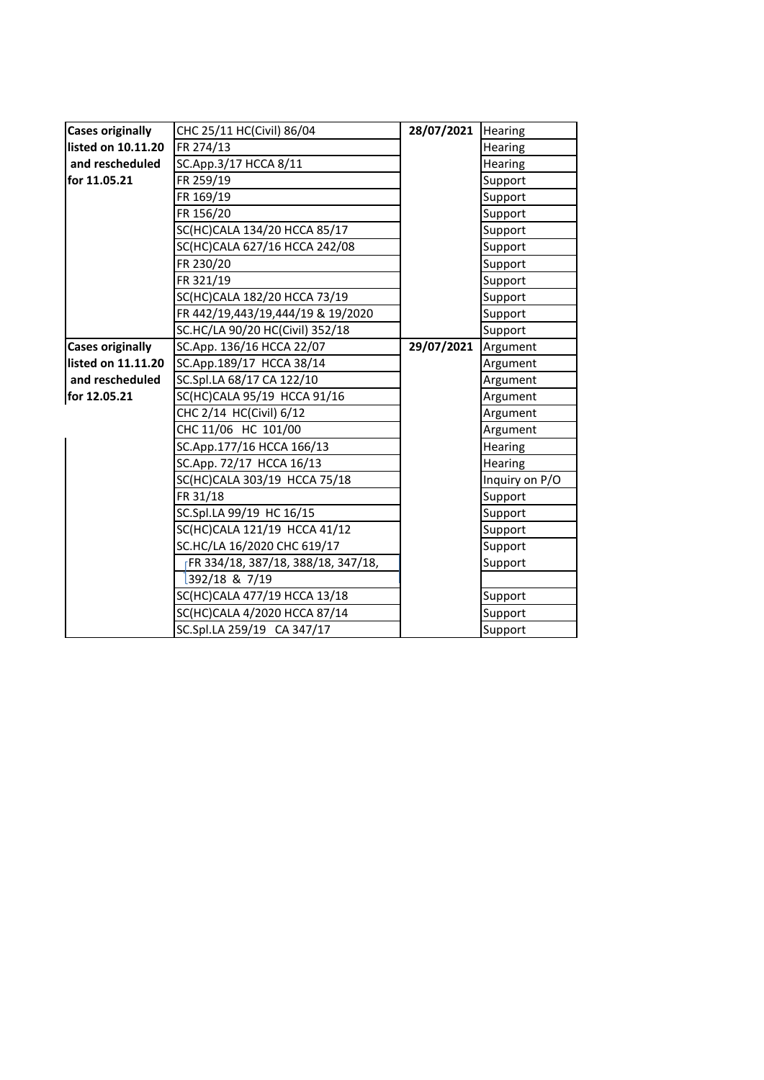| <b>Cases originally</b> | CHC 25/11 HC(Civil) 86/04          | 28/07/2021 | Hearing        |
|-------------------------|------------------------------------|------------|----------------|
| listed on 10.11.20      | FR 274/13                          |            | Hearing        |
| and rescheduled         | SC.App.3/17 HCCA 8/11              |            | <b>Hearing</b> |
| for 11.05.21            | FR 259/19                          |            | Support        |
|                         | FR 169/19                          |            | Support        |
|                         | FR 156/20                          |            | Support        |
|                         | SC(HC)CALA 134/20 HCCA 85/17       |            | Support        |
|                         | SC(HC)CALA 627/16 HCCA 242/08      |            | Support        |
|                         | FR 230/20                          |            | Support        |
|                         | FR 321/19                          |            | Support        |
|                         | SC(HC)CALA 182/20 HCCA 73/19       |            | Support        |
|                         | FR 442/19,443/19,444/19 & 19/2020  |            | Support        |
|                         | SC.HC/LA 90/20 HC(Civil) 352/18    |            | Support        |
| <b>Cases originally</b> | SC.App. 136/16 HCCA 22/07          | 29/07/2021 | Argument       |
| listed on 11.11.20      | SC.App.189/17 HCCA 38/14           |            | Argument       |
| and rescheduled         | SC.Spl.LA 68/17 CA 122/10          |            | Argument       |
| for 12.05.21            | SC(HC)CALA 95/19 HCCA 91/16        |            | Argument       |
|                         | CHC 2/14 HC(Civil) 6/12            |            | Argument       |
|                         | CHC 11/06 HC 101/00                |            | Argument       |
|                         | SC.App.177/16 HCCA 166/13          |            | <b>Hearing</b> |
|                         | SC.App. 72/17 HCCA 16/13           |            | Hearing        |
|                         | SC(HC)CALA 303/19 HCCA 75/18       |            | Inquiry on P/O |
|                         | FR 31/18                           |            | Support        |
|                         | SC.Spl.LA 99/19 HC 16/15           |            | Support        |
|                         | SC(HC)CALA 121/19 HCCA 41/12       |            | Support        |
|                         | SC.HC/LA 16/2020 CHC 619/17        |            | Support        |
|                         | FR 334/18, 387/18, 388/18, 347/18, |            | Support        |
|                         | 392/18 & 7/19                      |            |                |
|                         | SC(HC)CALA 477/19 HCCA 13/18       |            | Support        |
|                         | SC(HC)CALA 4/2020 HCCA 87/14       |            | Support        |
|                         | SC.Spl.LA 259/19 CA 347/17         |            | Support        |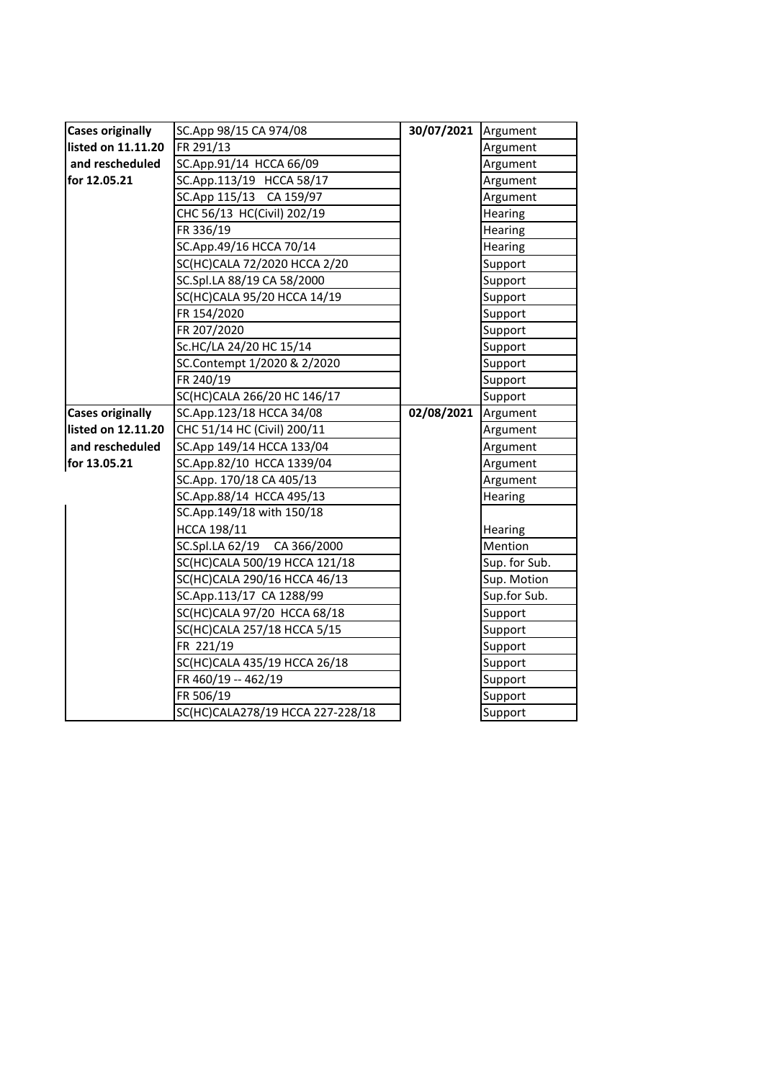| <b>Cases originally</b> | SC.App 98/15 CA 974/08           | 30/07/2021 Argument |               |
|-------------------------|----------------------------------|---------------------|---------------|
| listed on 11.11.20      | FR 291/13                        |                     | Argument      |
| and rescheduled         | SC.App.91/14 HCCA 66/09          |                     | Argument      |
| for 12.05.21            | SC.App.113/19 HCCA 58/17         |                     | Argument      |
|                         | SC.App 115/13 CA 159/97          |                     | Argument      |
|                         | CHC 56/13 HC(Civil) 202/19       |                     | Hearing       |
|                         | FR 336/19                        |                     | Hearing       |
|                         | SC.App.49/16 HCCA 70/14          |                     | Hearing       |
|                         | SC(HC)CALA 72/2020 HCCA 2/20     |                     | Support       |
|                         | SC.Spl.LA 88/19 CA 58/2000       |                     | Support       |
|                         | SC(HC)CALA 95/20 HCCA 14/19      |                     | Support       |
|                         | FR 154/2020                      |                     | Support       |
|                         | FR 207/2020                      |                     | Support       |
|                         | Sc.HC/LA 24/20 HC 15/14          |                     | Support       |
|                         | SC.Contempt 1/2020 & 2/2020      |                     | Support       |
|                         | FR 240/19                        |                     | Support       |
|                         | SC(HC)CALA 266/20 HC 146/17      |                     | Support       |
| <b>Cases originally</b> | SC.App.123/18 HCCA 34/08         | 02/08/2021          | Argument      |
| listed on 12.11.20      | CHC 51/14 HC (Civil) 200/11      |                     | Argument      |
| and rescheduled         | SC.App 149/14 HCCA 133/04        |                     | Argument      |
| for 13.05.21            | SC.App.82/10 HCCA 1339/04        |                     | Argument      |
|                         | SC.App. 170/18 CA 405/13         |                     | Argument      |
|                         | SC.App.88/14 HCCA 495/13         |                     | Hearing       |
|                         | SC.App.149/18 with 150/18        |                     |               |
|                         | HCCA 198/11                      |                     | Hearing       |
|                         | SC.Spl.LA 62/19 CA 366/2000      |                     | Mention       |
|                         | SC(HC)CALA 500/19 HCCA 121/18    |                     | Sup. for Sub. |
|                         | SC(HC)CALA 290/16 HCCA 46/13     |                     | Sup. Motion   |
|                         | SC.App.113/17 CA 1288/99         |                     | Sup.for Sub.  |
|                         | SC(HC)CALA 97/20 HCCA 68/18      |                     | Support       |
|                         | SC(HC)CALA 257/18 HCCA 5/15      |                     | Support       |
|                         | FR 221/19                        |                     | Support       |
|                         | SC(HC)CALA 435/19 HCCA 26/18     |                     | Support       |
|                         | FR 460/19 -- 462/19              |                     | Support       |
|                         | FR 506/19                        |                     | Support       |
|                         | SC(HC)CALA278/19 HCCA 227-228/18 |                     | Support       |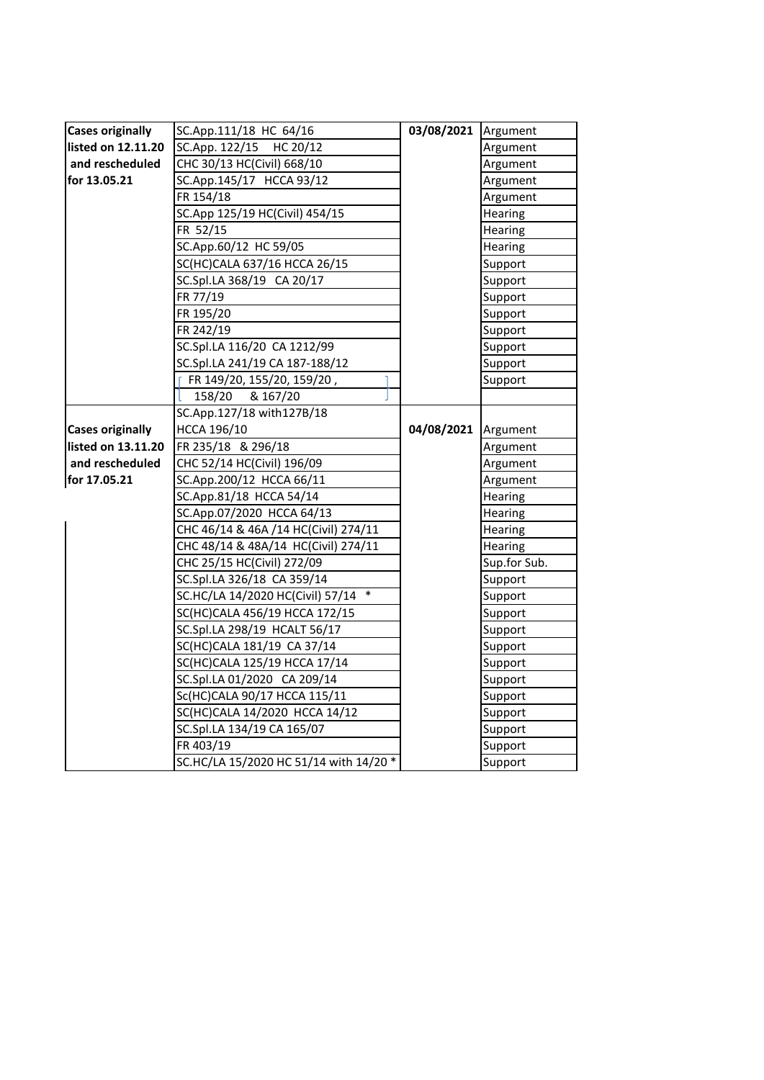| <b>Cases originally</b> | SC.App.111/18 HC 64/16                 | 03/08/2021 Argument   |                |
|-------------------------|----------------------------------------|-----------------------|----------------|
| listed on 12.11.20      | SC.App. 122/15 HC 20/12                |                       | Argument       |
| and rescheduled         | CHC 30/13 HC(Civil) 668/10             |                       | Argument       |
| for 13.05.21            | SC.App.145/17 HCCA 93/12               |                       | Argument       |
|                         | FR 154/18                              |                       | Argument       |
|                         | SC.App 125/19 HC(Civil) 454/15         |                       | Hearing        |
|                         | FR 52/15                               |                       | Hearing        |
|                         | SC.App.60/12 HC 59/05                  |                       | Hearing        |
|                         | SC(HC)CALA 637/16 HCCA 26/15           |                       | Support        |
|                         | SC.Spl.LA 368/19 CA 20/17              |                       | Support        |
|                         | FR 77/19                               |                       | Support        |
|                         | FR 195/20                              |                       | Support        |
|                         | FR 242/19                              |                       | Support        |
|                         | SC.Spl.LA 116/20 CA 1212/99            |                       | Support        |
|                         | SC.Spl.LA 241/19 CA 187-188/12         |                       | Support        |
|                         | FR 149/20, 155/20, 159/20,             |                       | Support        |
|                         | 158/20<br>& 167/20                     |                       |                |
|                         | SC.App.127/18 with127B/18              |                       |                |
| <b>Cases originally</b> | HCCA 196/10                            | 04/08/2021   Argument |                |
| listed on 13.11.20      | FR 235/18 & 296/18                     |                       | Argument       |
| and rescheduled         | CHC 52/14 HC(Civil) 196/09             |                       | Argument       |
| for 17.05.21            | SC.App.200/12 HCCA 66/11               |                       | Argument       |
|                         | SC.App.81/18 HCCA 54/14                |                       | Hearing        |
|                         | SC.App.07/2020 HCCA 64/13              |                       | <b>Hearing</b> |
|                         | CHC 46/14 & 46A /14 HC(Civil) 274/11   |                       | Hearing        |
|                         | CHC 48/14 & 48A/14 HC(Civil) 274/11    |                       | Hearing        |
|                         | CHC 25/15 HC(Civil) 272/09             |                       | Sup.for Sub.   |
|                         | SC.Spl.LA 326/18 CA 359/14             |                       | Support        |
|                         | SC.HC/LA 14/2020 HC(Civil) 57/14 *     |                       | Support        |
|                         | SC(HC)CALA 456/19 HCCA 172/15          |                       | Support        |
|                         | SC.Spl.LA 298/19 HCALT 56/17           |                       | Support        |
|                         | SC(HC)CALA 181/19 CA 37/14             |                       | Support        |
|                         | SC(HC)CALA 125/19 HCCA 17/14           |                       | Support        |
|                         | SC.Spl.LA 01/2020 CA 209/14            |                       | Support        |
|                         | Sc(HC)CALA 90/17 HCCA 115/11           |                       | Support        |
|                         | SC(HC)CALA 14/2020 HCCA 14/12          |                       | Support        |
|                         | SC.Spl.LA 134/19 CA 165/07             |                       | Support        |
|                         | FR 403/19                              |                       | Support        |
|                         | SC.HC/LA 15/2020 HC 51/14 with 14/20 * |                       | Support        |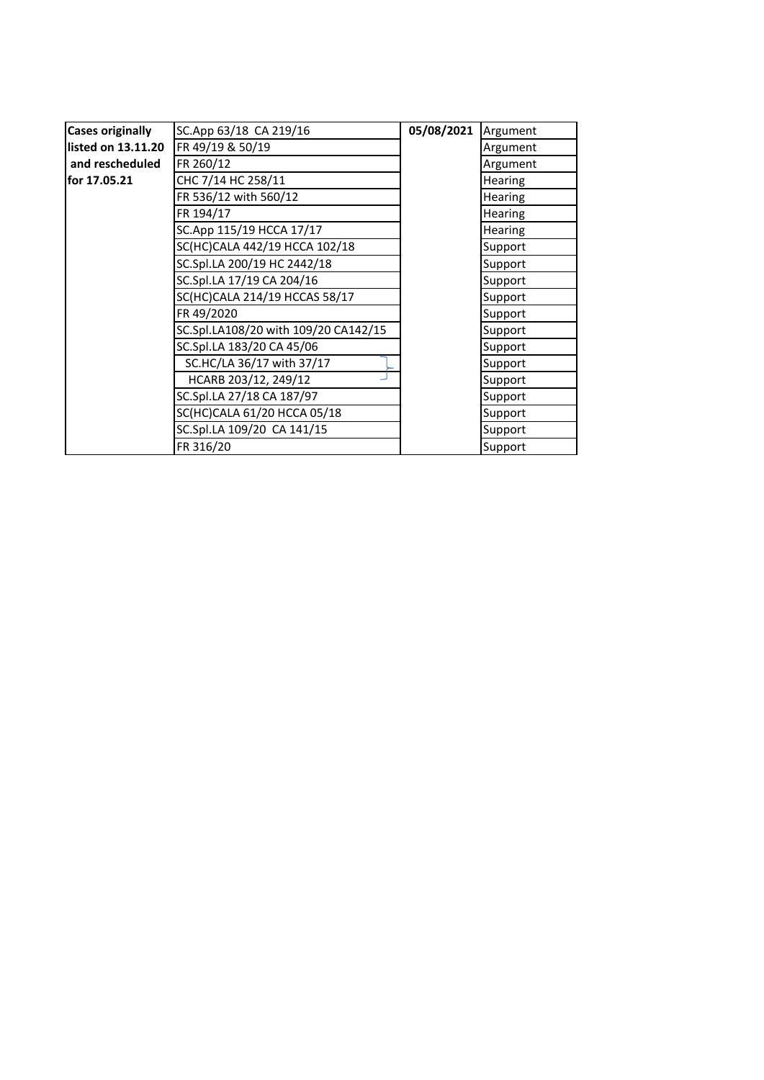| <b>Cases originally</b> | SC.App 63/18 CA 219/16               | 05/08/2021 | Argument       |
|-------------------------|--------------------------------------|------------|----------------|
| listed on 13.11.20      | FR 49/19 & 50/19                     |            | Argument       |
| and rescheduled         | FR 260/12                            |            | Argument       |
| for 17.05.21            | CHC 7/14 HC 258/11                   |            | <b>Hearing</b> |
|                         | FR 536/12 with 560/12                |            | <b>Hearing</b> |
|                         | FR 194/17                            |            | <b>Hearing</b> |
|                         | SC.App 115/19 HCCA 17/17             |            | <b>Hearing</b> |
|                         | SC(HC)CALA 442/19 HCCA 102/18        |            | Support        |
|                         | SC.Spl.LA 200/19 HC 2442/18          |            | Support        |
|                         | SC.Spl.LA 17/19 CA 204/16            |            | Support        |
|                         | SC(HC)CALA 214/19 HCCAS 58/17        |            | Support        |
|                         | FR 49/2020                           |            | Support        |
|                         | SC.Spl.LA108/20 with 109/20 CA142/15 |            | Support        |
|                         | SC.Spl.LA 183/20 CA 45/06            |            | Support        |
|                         | SC.HC/LA 36/17 with 37/17            |            | Support        |
|                         | HCARB 203/12, 249/12                 |            | Support        |
|                         | SC.Spl.LA 27/18 CA 187/97            |            | Support        |
|                         | SC(HC)CALA 61/20 HCCA 05/18          |            | Support        |
|                         | SC.Spl.LA 109/20 CA 141/15           |            | Support        |
|                         | FR 316/20                            |            | Support        |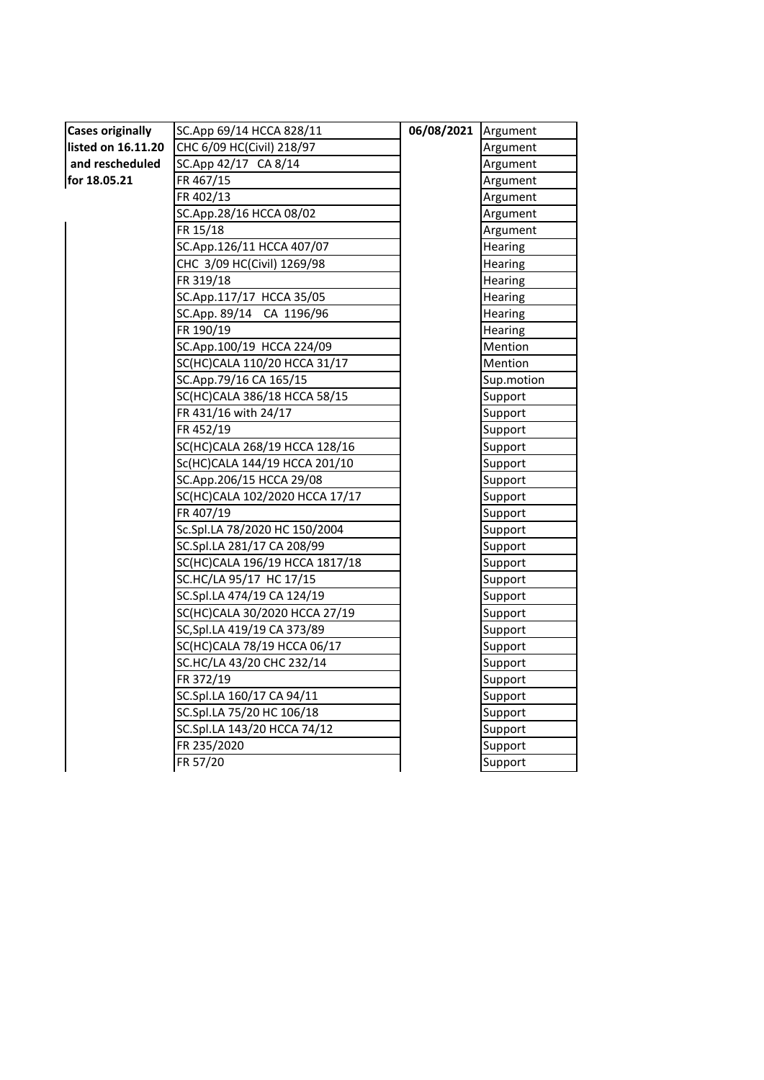| <b>Cases originally</b> | SC.App 69/14 HCCA 828/11       | 06/08/2021 Argument |                |
|-------------------------|--------------------------------|---------------------|----------------|
| listed on 16.11.20      | CHC 6/09 HC(Civil) 218/97      |                     | Argument       |
| and rescheduled         | SC.App 42/17 CA 8/14           |                     | Argument       |
| for 18.05.21            | FR 467/15                      |                     | Argument       |
|                         | FR 402/13                      |                     | Argument       |
|                         | SC.App.28/16 HCCA 08/02        |                     | Argument       |
|                         | FR 15/18                       |                     | Argument       |
|                         | SC.App.126/11 HCCA 407/07      |                     | Hearing        |
|                         | CHC 3/09 HC(Civil) 1269/98     |                     | Hearing        |
|                         | FR 319/18                      |                     | Hearing        |
|                         | SC.App.117/17 HCCA 35/05       |                     | <b>Hearing</b> |
|                         | SC.App. 89/14 CA 1196/96       |                     | Hearing        |
|                         | FR 190/19                      |                     | Hearing        |
|                         | SC.App.100/19 HCCA 224/09      |                     | Mention        |
|                         | SC(HC)CALA 110/20 HCCA 31/17   |                     | Mention        |
|                         | SC.App.79/16 CA 165/15         |                     | Sup.motion     |
|                         | SC(HC)CALA 386/18 HCCA 58/15   |                     | Support        |
|                         | FR 431/16 with 24/17           |                     | Support        |
|                         | FR 452/19                      |                     | Support        |
|                         | SC(HC)CALA 268/19 HCCA 128/16  |                     | Support        |
|                         | Sc(HC)CALA 144/19 HCCA 201/10  |                     | Support        |
|                         | SC.App.206/15 HCCA 29/08       |                     | Support        |
|                         | SC(HC)CALA 102/2020 HCCA 17/17 |                     | Support        |
|                         | FR 407/19                      |                     | Support        |
|                         | Sc.Spl.LA 78/2020 HC 150/2004  |                     | Support        |
|                         | SC.Spl.LA 281/17 CA 208/99     |                     | Support        |
|                         | SC(HC)CALA 196/19 HCCA 1817/18 |                     | Support        |
|                         | SC.HC/LA 95/17 HC 17/15        |                     | Support        |
|                         | SC.Spl.LA 474/19 CA 124/19     |                     | Support        |
|                         | SC(HC)CALA 30/2020 HCCA 27/19  |                     | Support        |
|                         | SC, Spl. LA 419/19 CA 373/89   |                     | Support        |
|                         | SC(HC)CALA 78/19 HCCA 06/17    |                     | Support        |
|                         | SC.HC/LA 43/20 CHC 232/14      |                     | Support        |
|                         | FR 372/19                      |                     | Support        |
|                         | SC.Spl.LA 160/17 CA 94/11      |                     | Support        |
|                         | SC.Spl.LA 75/20 HC 106/18      |                     | Support        |
|                         | SC.Spl.LA 143/20 HCCA 74/12    |                     | Support        |
|                         | FR 235/2020                    |                     | Support        |
|                         | FR 57/20                       |                     | Support        |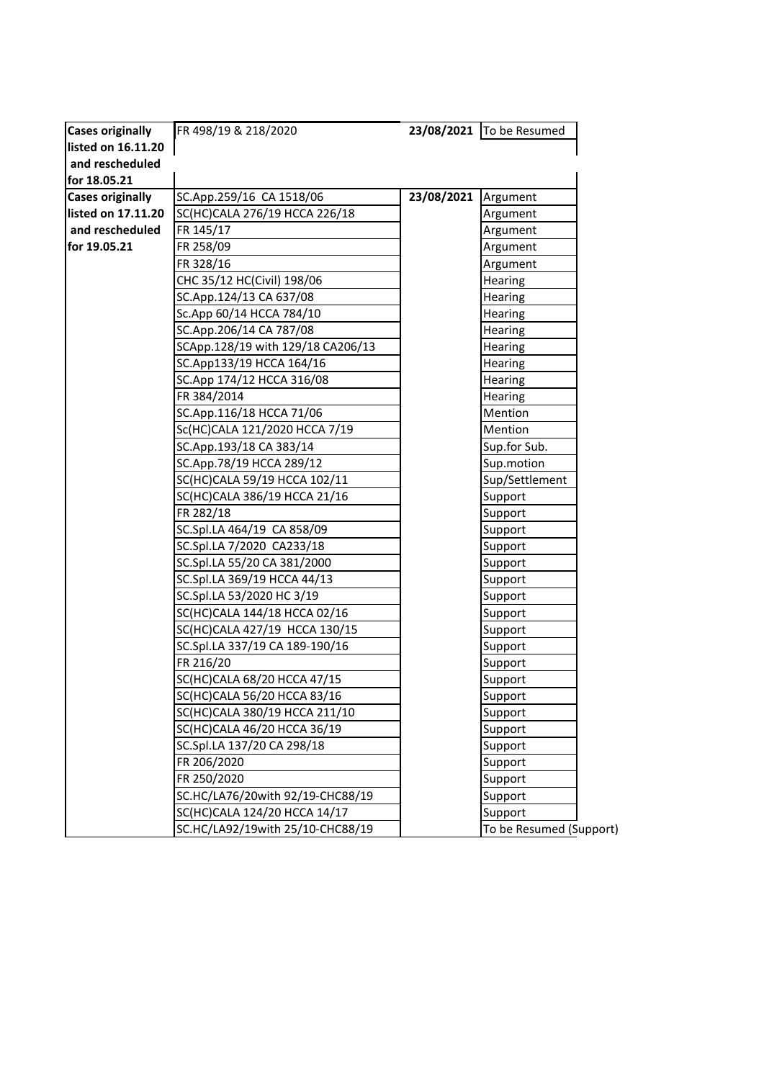| <b>Cases originally</b> | FR 498/19 & 218/2020              |            | 23/08/2021 To be Resumed |
|-------------------------|-----------------------------------|------------|--------------------------|
| listed on 16.11.20      |                                   |            |                          |
| and rescheduled         |                                   |            |                          |
| for 18.05.21            |                                   |            |                          |
| <b>Cases originally</b> | SC.App.259/16 CA 1518/06          | 23/08/2021 | Argument                 |
| listed on 17.11.20      | SC(HC)CALA 276/19 HCCA 226/18     |            | Argument                 |
| and rescheduled         | FR 145/17                         |            | Argument                 |
| for 19.05.21            | FR 258/09                         |            | Argument                 |
|                         | FR 328/16                         |            | Argument                 |
|                         | CHC 35/12 HC(Civil) 198/06        |            | Hearing                  |
|                         | SC.App.124/13 CA 637/08           |            | Hearing                  |
|                         | Sc.App 60/14 HCCA 784/10          |            | <b>Hearing</b>           |
|                         | SC.App.206/14 CA 787/08           |            | Hearing                  |
|                         | SCApp.128/19 with 129/18 CA206/13 |            | <b>Hearing</b>           |
|                         | SC.App133/19 HCCA 164/16          |            | <b>Hearing</b>           |
|                         | SC.App 174/12 HCCA 316/08         |            | <b>Hearing</b>           |
|                         | FR 384/2014                       |            | Hearing                  |
|                         | SC.App.116/18 HCCA 71/06          |            | Mention                  |
|                         | Sc(HC)CALA 121/2020 HCCA 7/19     |            | Mention                  |
|                         | SC.App.193/18 CA 383/14           |            | Sup.for Sub.             |
|                         | SC.App.78/19 HCCA 289/12          |            | Sup.motion               |
|                         | SC(HC)CALA 59/19 HCCA 102/11      |            | Sup/Settlement           |
|                         | SC(HC)CALA 386/19 HCCA 21/16      |            | Support                  |
|                         | FR 282/18                         |            | Support                  |
|                         | SC.Spl.LA 464/19 CA 858/09        |            | Support                  |
|                         | SC.Spl.LA 7/2020 CA233/18         |            | Support                  |
|                         | SC.Spl.LA 55/20 CA 381/2000       |            | Support                  |
|                         | SC.Spl.LA 369/19 HCCA 44/13       |            | Support                  |
|                         | SC.Spl.LA 53/2020 HC 3/19         |            | Support                  |
|                         | SC(HC)CALA 144/18 HCCA 02/16      |            | Support                  |
|                         | SC(HC)CALA 427/19 HCCA 130/15     |            | Support                  |
|                         | SC.Spl.LA 337/19 CA 189-190/16    |            | Support                  |
|                         | FR 216/20                         |            | Support                  |
|                         | SC(HC)CALA 68/20 HCCA 47/15       |            | Support                  |
|                         | SC(HC)CALA 56/20 HCCA 83/16       |            | Support                  |
|                         | SC(HC)CALA 380/19 HCCA 211/10     |            | Support                  |
|                         | SC(HC)CALA 46/20 HCCA 36/19       |            | Support                  |
|                         | SC.Spl.LA 137/20 CA 298/18        |            | Support                  |
|                         | FR 206/2020                       |            | Support                  |
|                         | FR 250/2020                       |            | Support                  |
|                         | SC.HC/LA76/20with 92/19-CHC88/19  |            | Support                  |
|                         | SC(HC)CALA 124/20 HCCA 14/17      |            | Support                  |
|                         | SC.HC/LA92/19with 25/10-CHC88/19  |            | To be Resumed (Support)  |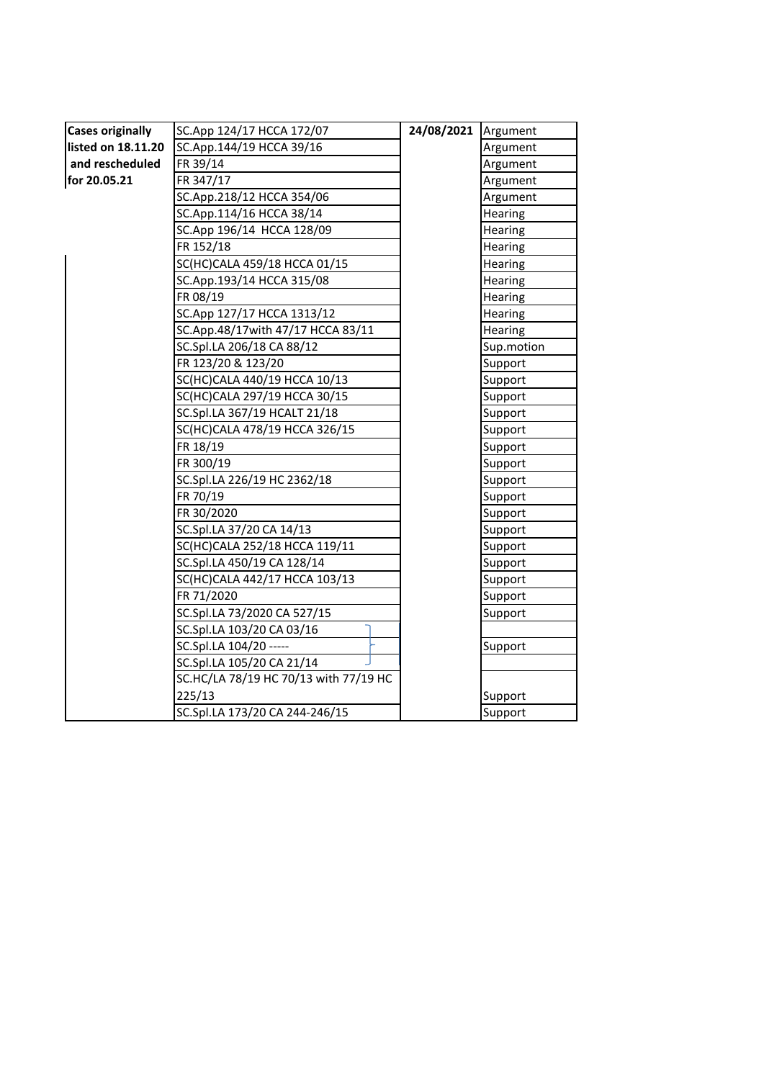| <b>Cases originally</b> | SC.App 124/17 HCCA 172/07             | 24/08/2021 | Argument   |
|-------------------------|---------------------------------------|------------|------------|
| listed on 18.11.20      | SC.App.144/19 HCCA 39/16              |            | Argument   |
| and rescheduled         | FR 39/14                              |            | Argument   |
| for 20.05.21            | FR 347/17                             |            | Argument   |
|                         | SC.App.218/12 HCCA 354/06             |            | Argument   |
|                         | SC.App.114/16 HCCA 38/14              |            | Hearing    |
|                         | SC.App 196/14 HCCA 128/09             |            | Hearing    |
|                         | FR 152/18                             |            | Hearing    |
|                         | SC(HC)CALA 459/18 HCCA 01/15          |            | Hearing    |
|                         | SC.App.193/14 HCCA 315/08             |            | Hearing    |
|                         | FR 08/19                              |            | Hearing    |
|                         | SC.App 127/17 HCCA 1313/12            |            | Hearing    |
|                         | SC.App.48/17with 47/17 HCCA 83/11     |            | Hearing    |
|                         | SC.Spl.LA 206/18 CA 88/12             |            | Sup.motion |
|                         | FR 123/20 & 123/20                    |            | Support    |
|                         | SC(HC)CALA 440/19 HCCA 10/13          |            | Support    |
|                         | SC(HC)CALA 297/19 HCCA 30/15          |            | Support    |
|                         | SC.Spl.LA 367/19 HCALT 21/18          |            | Support    |
|                         | SC(HC)CALA 478/19 HCCA 326/15         |            | Support    |
|                         | FR 18/19                              |            | Support    |
|                         | FR 300/19                             |            | Support    |
|                         | SC.Spl.LA 226/19 HC 2362/18           |            | Support    |
|                         | FR 70/19                              |            | Support    |
|                         | FR 30/2020                            |            | Support    |
|                         | SC.Spl.LA 37/20 CA 14/13              |            | Support    |
|                         | SC(HC)CALA 252/18 HCCA 119/11         |            | Support    |
|                         | SC.Spl.LA 450/19 CA 128/14            |            | Support    |
|                         | SC(HC)CALA 442/17 HCCA 103/13         |            | Support    |
|                         | FR 71/2020                            |            | Support    |
|                         | SC.Spl.LA 73/2020 CA 527/15           |            | Support    |
|                         | SC.Spl.LA 103/20 CA 03/16             |            |            |
|                         | SC.Spl.LA 104/20 -----                |            | Support    |
|                         | SC.Spl.LA 105/20 CA 21/14             |            |            |
|                         | SC.HC/LA 78/19 HC 70/13 with 77/19 HC |            |            |
|                         | 225/13                                |            | Support    |
|                         | SC.Spl.LA 173/20 CA 244-246/15        |            | Support    |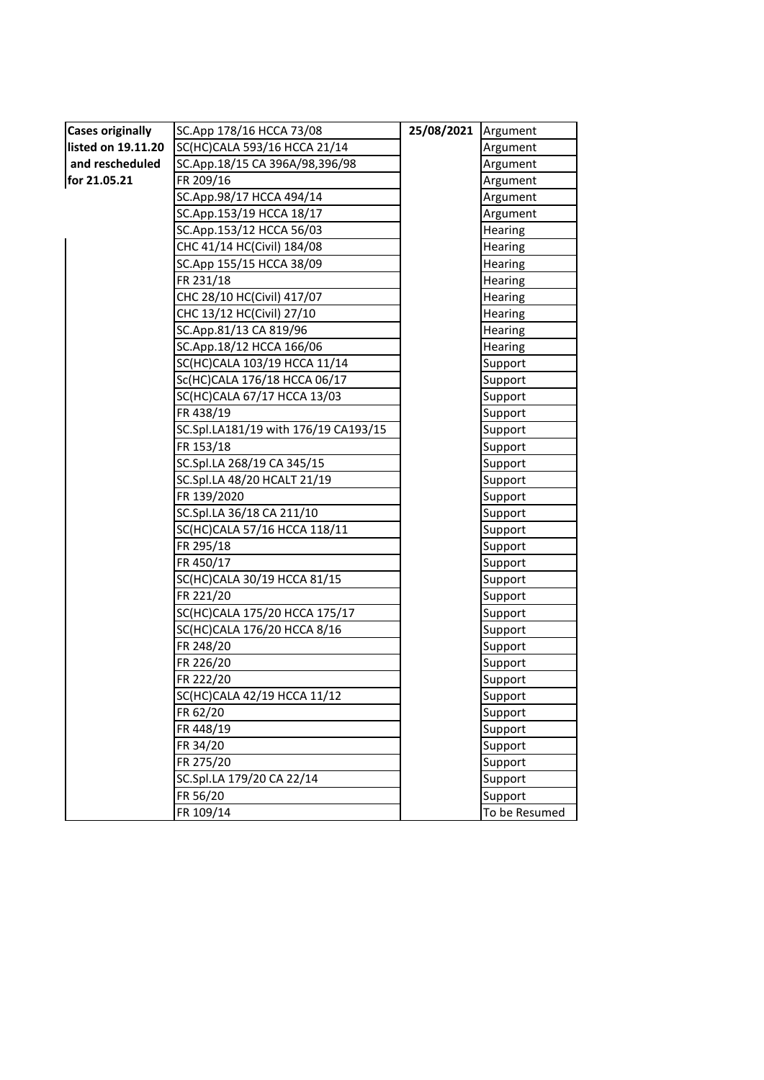| <b>Cases originally</b> | SC.App 178/16 HCCA 73/08             | 25/08/2021 | Argument       |
|-------------------------|--------------------------------------|------------|----------------|
| listed on 19.11.20      | SC(HC)CALA 593/16 HCCA 21/14         |            | Argument       |
| and rescheduled         | SC.App.18/15 CA 396A/98,396/98       |            | Argument       |
| for 21.05.21            | FR 209/16                            |            | Argument       |
|                         | SC.App.98/17 HCCA 494/14             |            | Argument       |
|                         | SC.App.153/19 HCCA 18/17             |            | Argument       |
|                         | SC.App.153/12 HCCA 56/03             |            | Hearing        |
|                         | CHC 41/14 HC(Civil) 184/08           |            | Hearing        |
|                         | SC.App 155/15 HCCA 38/09             |            | Hearing        |
|                         | FR 231/18                            |            | <b>Hearing</b> |
|                         | CHC 28/10 HC(Civil) 417/07           |            | Hearing        |
|                         | CHC 13/12 HC(Civil) 27/10            |            | <b>Hearing</b> |
|                         | SC.App.81/13 CA 819/96               |            | Hearing        |
|                         | SC.App.18/12 HCCA 166/06             |            | Hearing        |
|                         | SC(HC)CALA 103/19 HCCA 11/14         |            | Support        |
|                         | Sc(HC)CALA 176/18 HCCA 06/17         |            | Support        |
|                         | SC(HC)CALA 67/17 HCCA 13/03          |            | Support        |
|                         | FR 438/19                            |            | Support        |
|                         | SC.Spl.LA181/19 with 176/19 CA193/15 |            | Support        |
|                         | FR 153/18                            |            | Support        |
|                         | SC.Spl.LA 268/19 CA 345/15           |            | Support        |
|                         | SC.Spl.LA 48/20 HCALT 21/19          |            | Support        |
|                         | FR 139/2020                          |            | Support        |
|                         | SC.Spl.LA 36/18 CA 211/10            |            | Support        |
|                         | SC(HC)CALA 57/16 HCCA 118/11         |            | Support        |
|                         | FR 295/18                            |            | Support        |
|                         | FR 450/17                            |            | Support        |
|                         | SC(HC)CALA 30/19 HCCA 81/15          |            | Support        |
|                         | FR 221/20                            |            | Support        |
|                         | SC(HC)CALA 175/20 HCCA 175/17        |            | Support        |
|                         | SC(HC)CALA 176/20 HCCA 8/16          |            | Support        |
|                         | FR 248/20                            |            | Support        |
|                         | FR 226/20                            |            | Support        |
|                         | FR 222/20                            |            | Support        |
|                         | SC(HC)CALA 42/19 HCCA 11/12          |            | Support        |
|                         | FR 62/20                             |            | Support        |
|                         | FR 448/19                            |            | Support        |
|                         | FR 34/20                             |            | Support        |
|                         | FR 275/20                            |            | Support        |
|                         | SC.Spl.LA 179/20 CA 22/14            |            | Support        |
|                         | FR 56/20                             |            | Support        |
|                         | FR 109/14                            |            | To be Resumed  |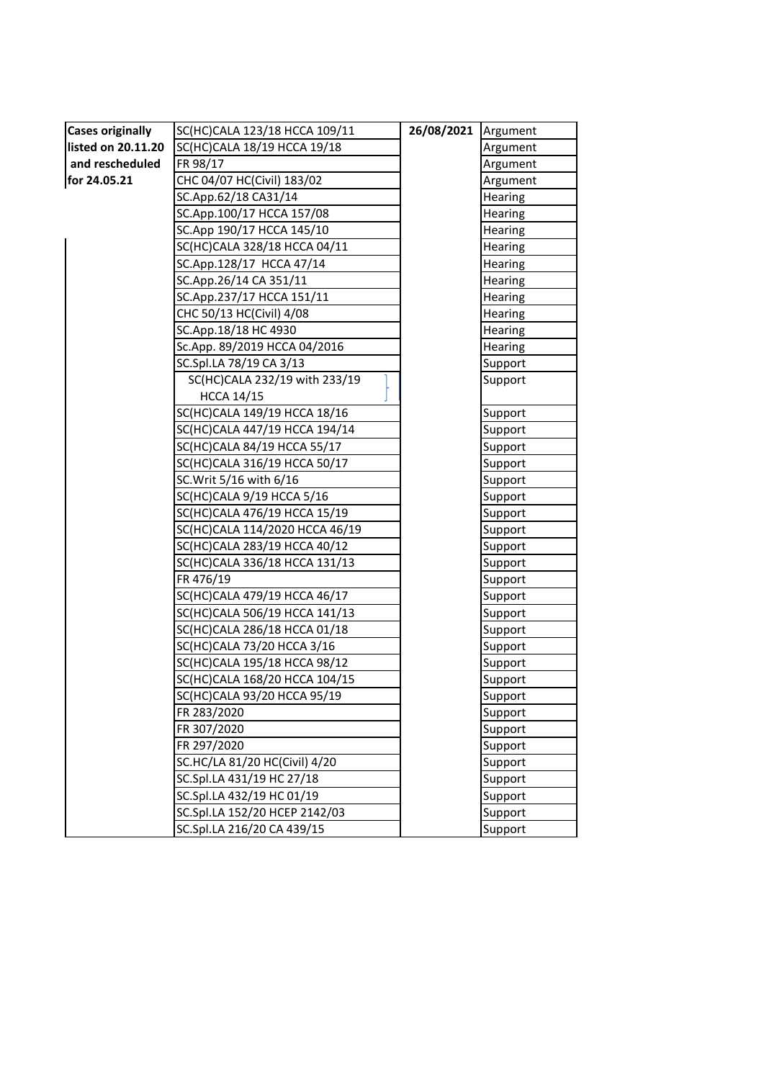| <b>Cases originally</b> | SC(HC)CALA 123/18 HCCA 109/11  | 26/08/2021 | Argument       |
|-------------------------|--------------------------------|------------|----------------|
| listed on 20.11.20      | SC(HC)CALA 18/19 HCCA 19/18    |            | Argument       |
| and rescheduled         | FR 98/17                       |            | Argument       |
| for 24.05.21            | CHC 04/07 HC(Civil) 183/02     |            | Argument       |
|                         | SC.App.62/18 CA31/14           |            | Hearing        |
|                         | SC.App.100/17 HCCA 157/08      |            | Hearing        |
|                         | SC.App 190/17 HCCA 145/10      |            | <b>Hearing</b> |
|                         | SC(HC)CALA 328/18 HCCA 04/11   |            | Hearing        |
|                         | SC.App.128/17 HCCA 47/14       |            | Hearing        |
|                         | SC.App.26/14 CA 351/11         |            | <b>Hearing</b> |
|                         | SC.App.237/17 HCCA 151/11      |            | Hearing        |
|                         | CHC 50/13 HC(Civil) 4/08       |            | Hearing        |
|                         | SC.App.18/18 HC 4930           |            | Hearing        |
|                         | Sc.App. 89/2019 HCCA 04/2016   |            | <b>Hearing</b> |
|                         | SC.Spl.LA 78/19 CA 3/13        |            | Support        |
|                         | SC(HC)CALA 232/19 with 233/19  |            | Support        |
|                         | <b>HCCA 14/15</b>              |            |                |
|                         | SC(HC)CALA 149/19 HCCA 18/16   |            | Support        |
|                         | SC(HC)CALA 447/19 HCCA 194/14  |            | Support        |
|                         | SC(HC)CALA 84/19 HCCA 55/17    |            | Support        |
|                         | SC(HC)CALA 316/19 HCCA 50/17   |            | Support        |
|                         | SC. Writ 5/16 with 6/16        |            | Support        |
|                         | SC(HC)CALA 9/19 HCCA 5/16      |            | Support        |
|                         | SC(HC)CALA 476/19 HCCA 15/19   |            | Support        |
|                         | SC(HC)CALA 114/2020 HCCA 46/19 |            | Support        |
|                         | SC(HC)CALA 283/19 HCCA 40/12   |            | Support        |
|                         | SC(HC)CALA 336/18 HCCA 131/13  |            | Support        |
|                         | FR 476/19                      |            | Support        |
|                         | SC(HC)CALA 479/19 HCCA 46/17   |            | Support        |
|                         | SC(HC)CALA 506/19 HCCA 141/13  |            | Support        |
|                         | SC(HC)CALA 286/18 HCCA 01/18   |            | Support        |
|                         | SC(HC)CALA 73/20 HCCA 3/16     |            | Support        |
|                         | SC(HC)CALA 195/18 HCCA 98/12   |            | Support        |
|                         | SC(HC)CALA 168/20 HCCA 104/15  |            | Support        |
|                         | SC(HC)CALA 93/20 HCCA 95/19    |            | Support        |
|                         | FR 283/2020                    |            | Support        |
|                         | FR 307/2020                    |            | Support        |
|                         | FR 297/2020                    |            | Support        |
|                         | SC.HC/LA 81/20 HC(Civil) 4/20  |            | Support        |
|                         | SC.Spl.LA 431/19 HC 27/18      |            | Support        |
|                         | SC.Spl.LA 432/19 HC 01/19      |            | Support        |
|                         | SC.Spl.LA 152/20 HCEP 2142/03  |            | Support        |
|                         | SC.Spl.LA 216/20 CA 439/15     |            | Support        |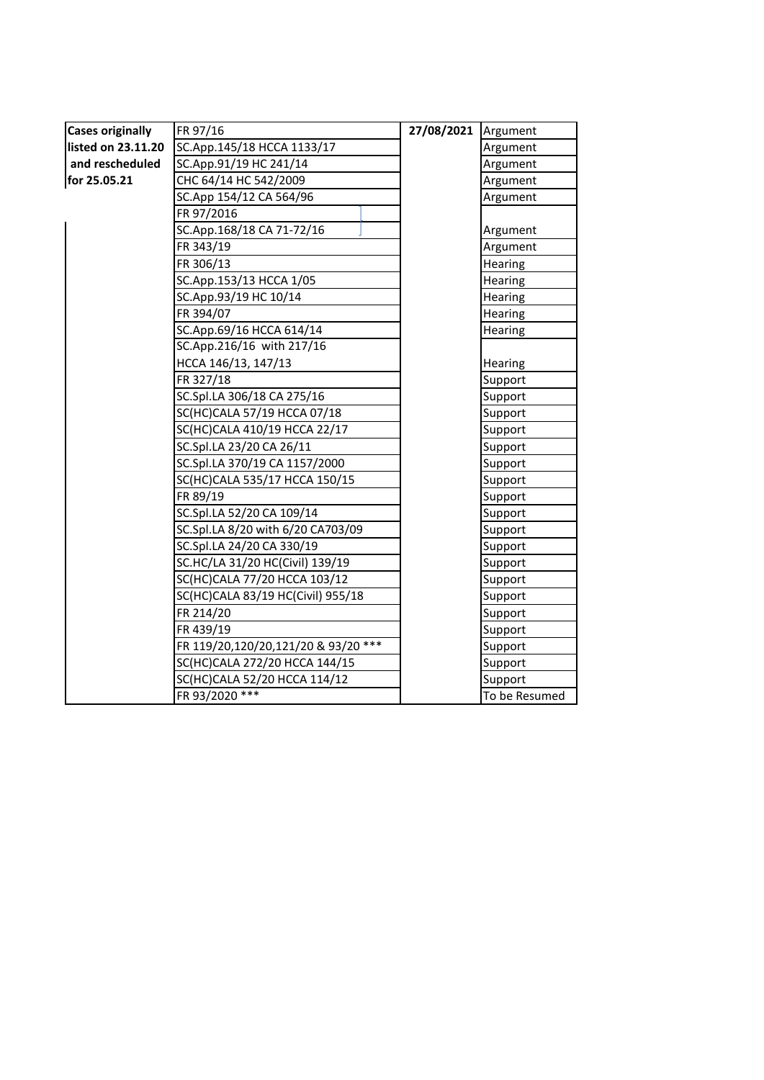| <b>Cases originally</b> | FR 97/16                            | 27/08/2021 | Argument       |
|-------------------------|-------------------------------------|------------|----------------|
| listed on 23.11.20      | SC.App.145/18 HCCA 1133/17          |            | Argument       |
| and rescheduled         | SC.App.91/19 HC 241/14              |            | Argument       |
| for 25.05.21            | CHC 64/14 HC 542/2009               |            | Argument       |
|                         | SC.App 154/12 CA 564/96             |            | Argument       |
|                         | FR 97/2016                          |            |                |
|                         | SC.App.168/18 CA 71-72/16           |            | Argument       |
|                         | FR 343/19                           |            | Argument       |
|                         | FR 306/13                           |            | Hearing        |
|                         | SC.App.153/13 HCCA 1/05             |            | Hearing        |
|                         | SC.App.93/19 HC 10/14               |            | <b>Hearing</b> |
|                         | FR 394/07                           |            | Hearing        |
|                         | SC.App.69/16 HCCA 614/14            |            | Hearing        |
|                         | SC.App.216/16 with 217/16           |            |                |
|                         | HCCA 146/13, 147/13                 |            | Hearing        |
|                         | FR 327/18                           |            | Support        |
|                         | SC.Spl.LA 306/18 CA 275/16          |            | Support        |
|                         | SC(HC)CALA 57/19 HCCA 07/18         |            | Support        |
|                         | SC(HC)CALA 410/19 HCCA 22/17        |            | Support        |
|                         | SC.Spl.LA 23/20 CA 26/11            |            | Support        |
|                         | SC.Spl.LA 370/19 CA 1157/2000       |            | Support        |
|                         | SC(HC)CALA 535/17 HCCA 150/15       |            | Support        |
|                         | FR 89/19                            |            | Support        |
|                         | SC.Spl.LA 52/20 CA 109/14           |            | Support        |
|                         | SC.Spl.LA 8/20 with 6/20 CA703/09   |            | Support        |
|                         | SC.Spl.LA 24/20 CA 330/19           |            | Support        |
|                         | SC.HC/LA 31/20 HC(Civil) 139/19     |            | Support        |
|                         | SC(HC)CALA 77/20 HCCA 103/12        |            | Support        |
|                         | SC(HC)CALA 83/19 HC(Civil) 955/18   |            | Support        |
|                         | FR 214/20                           |            | Support        |
|                         | FR 439/19                           |            | Support        |
|                         | FR 119/20,120/20,121/20 & 93/20 *** |            | Support        |
|                         | SC(HC)CALA 272/20 HCCA 144/15       |            | Support        |
|                         | SC(HC)CALA 52/20 HCCA 114/12        |            | Support        |
|                         | FR 93/2020 ***                      |            | To be Resumed  |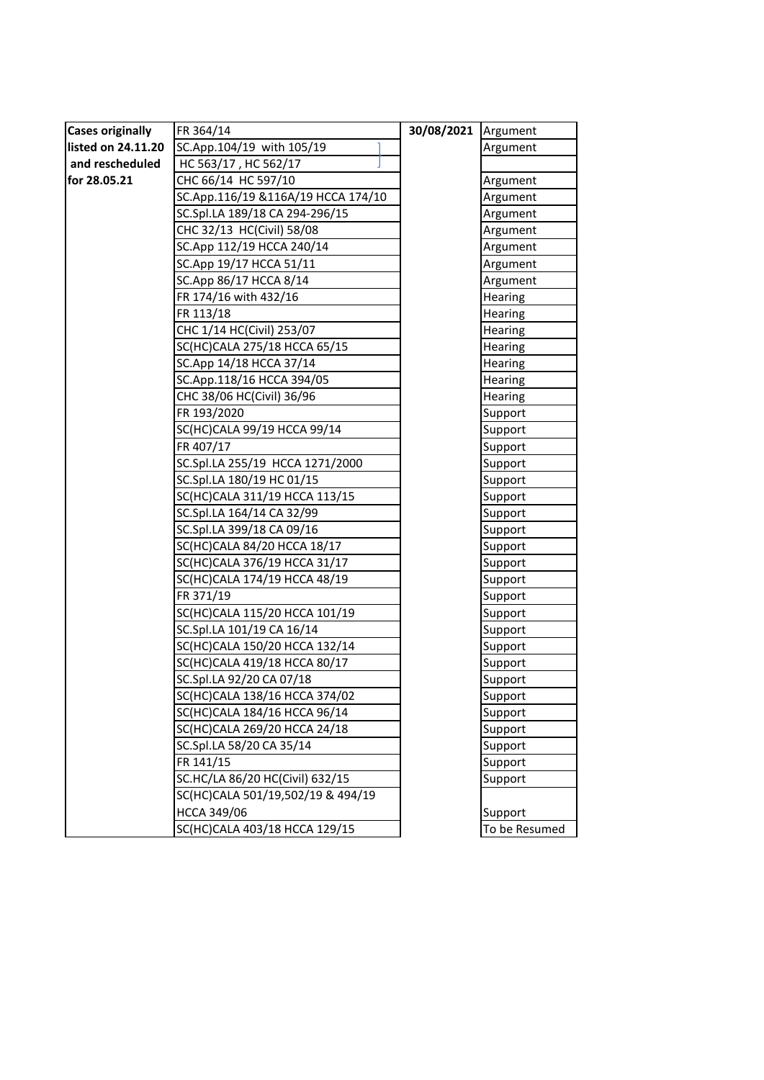| <b>Cases originally</b> | FR 364/14                          | 30/08/2021 | Argument      |
|-------------------------|------------------------------------|------------|---------------|
| listed on 24.11.20      | SC.App.104/19 with 105/19          |            | Argument      |
| and rescheduled         | HC 563/17, HC 562/17               |            |               |
| for 28.05.21            | CHC 66/14 HC 597/10                |            | Argument      |
|                         | SC.App.116/19 &116A/19 HCCA 174/10 |            | Argument      |
|                         | SC.Spl.LA 189/18 CA 294-296/15     |            | Argument      |
|                         | CHC 32/13 HC(Civil) 58/08          |            | Argument      |
|                         | SC.App 112/19 HCCA 240/14          |            | Argument      |
|                         | SC.App 19/17 HCCA 51/11            |            | Argument      |
|                         | SC.App 86/17 HCCA 8/14             |            | Argument      |
|                         | FR 174/16 with 432/16              |            | Hearing       |
|                         | FR 113/18                          |            | Hearing       |
|                         | CHC 1/14 HC(Civil) 253/07          |            | Hearing       |
|                         | SC(HC)CALA 275/18 HCCA 65/15       |            | Hearing       |
|                         | SC.App 14/18 HCCA 37/14            |            | Hearing       |
|                         | SC.App.118/16 HCCA 394/05          |            | Hearing       |
|                         | CHC 38/06 HC(Civil) 36/96          |            | Hearing       |
|                         | FR 193/2020                        |            | Support       |
|                         | SC(HC)CALA 99/19 HCCA 99/14        |            | Support       |
|                         | FR 407/17                          |            | Support       |
|                         | SC.Spl.LA 255/19 HCCA 1271/2000    |            | Support       |
|                         | SC.Spl.LA 180/19 HC 01/15          |            | Support       |
|                         | SC(HC)CALA 311/19 HCCA 113/15      |            | Support       |
|                         | SC.Spl.LA 164/14 CA 32/99          |            | Support       |
|                         | SC.Spl.LA 399/18 CA 09/16          |            | Support       |
|                         | SC(HC)CALA 84/20 HCCA 18/17        |            | Support       |
|                         | SC(HC)CALA 376/19 HCCA 31/17       |            | Support       |
|                         | SC(HC)CALA 174/19 HCCA 48/19       |            | Support       |
|                         | FR 371/19                          |            | Support       |
|                         | SC(HC)CALA 115/20 HCCA 101/19      |            | Support       |
|                         | SC.Spl.LA 101/19 CA 16/14          |            | Support       |
|                         | SC(HC)CALA 150/20 HCCA 132/14      |            | Support       |
|                         | SC(HC)CALA 419/18 HCCA 80/17       |            | Support       |
|                         | SC.Spl.LA 92/20 CA 07/18           |            | Support       |
|                         | SC(HC)CALA 138/16 HCCA 374/02      |            | Support       |
|                         | SC(HC)CALA 184/16 HCCA 96/14       |            | Support       |
|                         | SC(HC)CALA 269/20 HCCA 24/18       |            | Support       |
|                         | SC.Spl.LA 58/20 CA 35/14           |            | Support       |
|                         | FR 141/15                          |            | Support       |
|                         | SC.HC/LA 86/20 HC(Civil) 632/15    |            | Support       |
|                         | SC(HC)CALA 501/19,502/19 & 494/19  |            |               |
|                         | <b>HCCA 349/06</b>                 |            | Support       |
|                         | SC(HC)CALA 403/18 HCCA 129/15      |            | To be Resumed |